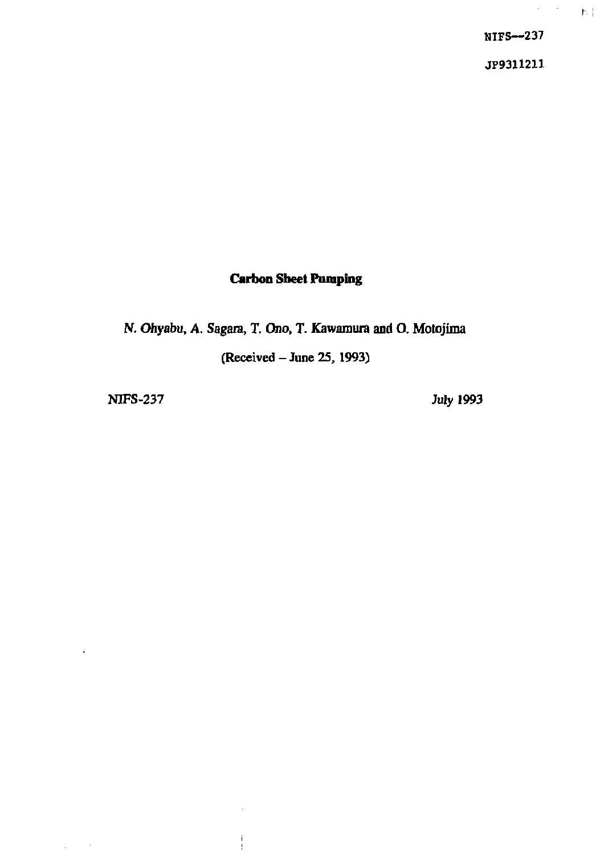**NIFS—237** 

 $\bar{\alpha}$  $\mathbb{M}^+$ 

**JP9311211** 

### **Carbon Sheet Pumping**

N. Ohyabu, A. Sagara, T. Ono, T. Kawamura and O. Motojima

(Received - June 25,1993)

ţ

NIFS-237 July 1993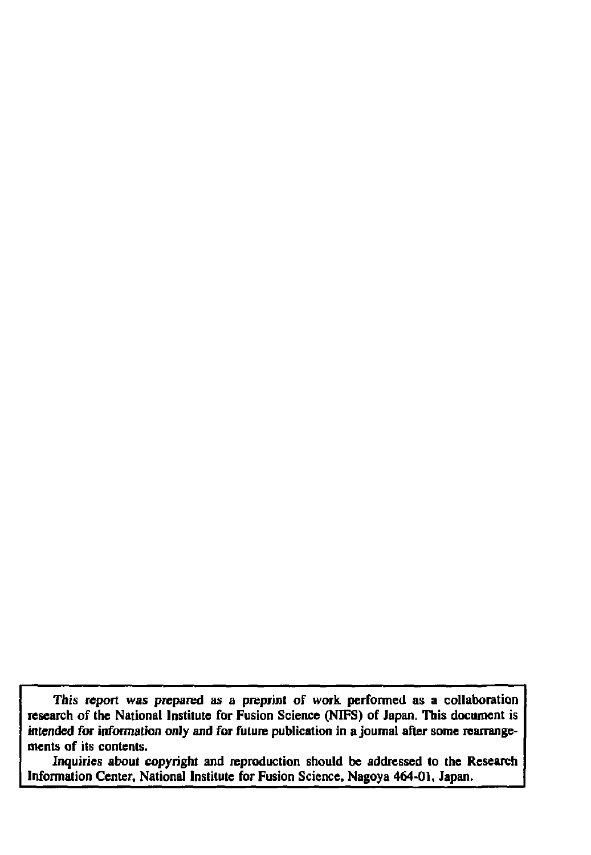**This report was prepared as a preprint of work performed as a collaboration research of the National Institute for Fusion Science (NIFS) of Japan. This document is intended for information only and for future publication in a journal after some rearrangements of its contents.** 

**Inquiries about copyright and reproduction should be addressed to the Research Infonnation Center, National Institute for Fusion Science, Nagoya 464-01, Japan.**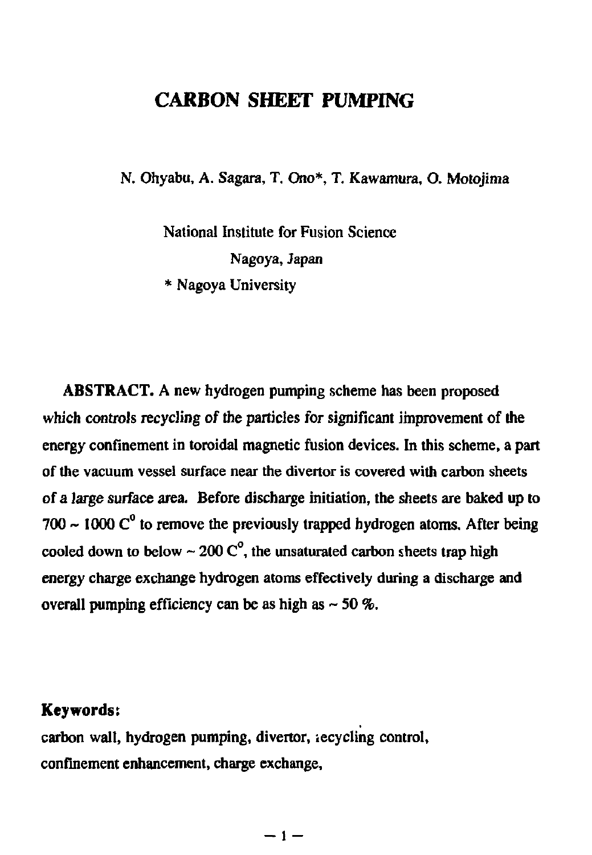## **CARBON SHEET PUMPING**

N. Ohyabu, A. Sagara, T. Ono\*, T. Kawamura, O. Motojima

National Institute for Fusion Science Nagoya, Japan \* Nagoya University

ABSTRACT. A new hydrogen pumping scheme has been proposed which controls recycling of the particles for significant improvement of the energy confinement in toroidal magnetic fusion devices. In this scheme, a part of the vacuum vessel surface near the divertor is covered with carbon sheets of a large surface area. Before discharge initiation, the sheets are baked up to 700  $\sim$  1000  $C^0$  to remove the previously trapped hydrogen atoms. After being cooled down to below  $\sim 200 \, \text{C}^{\circ}$ , the unsaturated carbon sheets trap high energy charge exchange hydrogen atoms effectively during a discharge and overall pumping efficiency can be as high as  $\sim$  50 %.

## **Keywords:**

carbon wall, hydrogen pumping, divertor, iecycling control, confinement enhancement, charge exchange,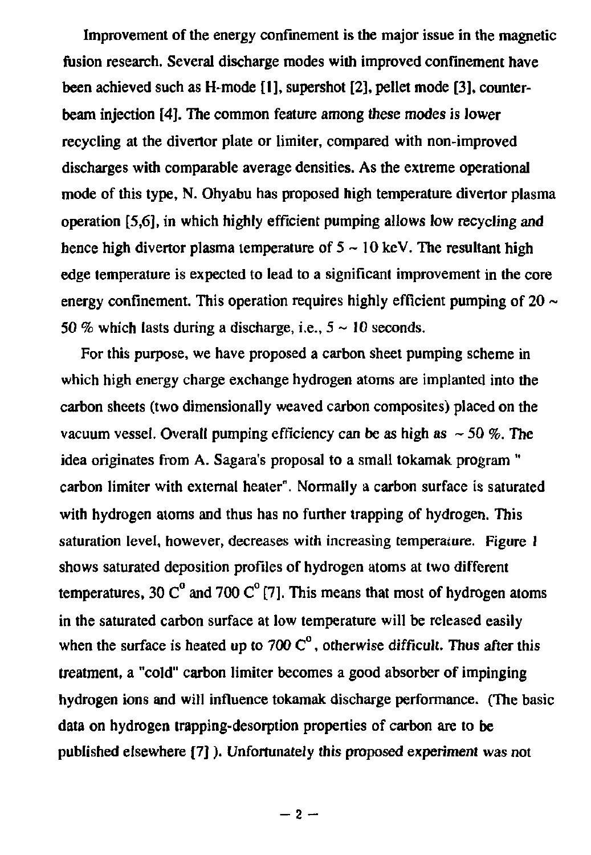Improvement of the energy confinement is the major issue in the magnetic fusion research. Several discharge modes with improved confinement have been achieved such as H-mode [1], supershot [2], pellet mode [3], counterbeam injection [4]. The common feature among these modes is lower recycling at the divertor plate or limiter, compared with non-improved discharges with comparable average densities. As the extreme operational mode of this type, N. Ohyabu has proposed high temperature divertor plasma operation [5,6], in which highly efficient pumping allows low recycling and hence high divertor plasma temperature of  $5 \sim 10$  keV. The resultant high edge temperature is expected to lead to a significant improvement in the core energy confinement. This operation requires highly efficient pumping of  $20 \sim$ 50 % which lasts during a discharge, i.e.,  $5 \sim 10$  seconds.

For this purpose, we have proposed a carbon sheet pumping scheme in which high energy charge exchange hydrogen atoms are implanted into the carbon sheets (two dimensionally weaved carbon composites) placed on the vacuum vessel. Overall pumping efficiency can be as high as  $\sim$  50 %. The idea originates from A. Sagara's proposal to a small tokamak program " carbon limiter with external heater". Normally a carbon surface is saturated with hydrogen atoms and thus has no further trapping of hydrogen. This saturation level, however, decreases with increasing temperature. Figure 1 shows saturated deposition profiles of hydrogen atoms at two different temperatures, 30  $C^{\circ}$  and 700  $C^{\circ}$  [7]. This means that most of hydrogen atoms in the saturated carbon surface at low temperature will be released easily when the surface is heated up to 700  $\mathbb{C}^{\circ}$ , otherwise difficult. Thus after this treatment, a "cold" carbon limiter becomes a good absorber of impinging hydrogen ions and will influence tokamak discharge performance. (The basic data on hydrogen trapping-desorption properties of carbon are to be published elsewhere [7]). Unfortunately this proposed experiment was not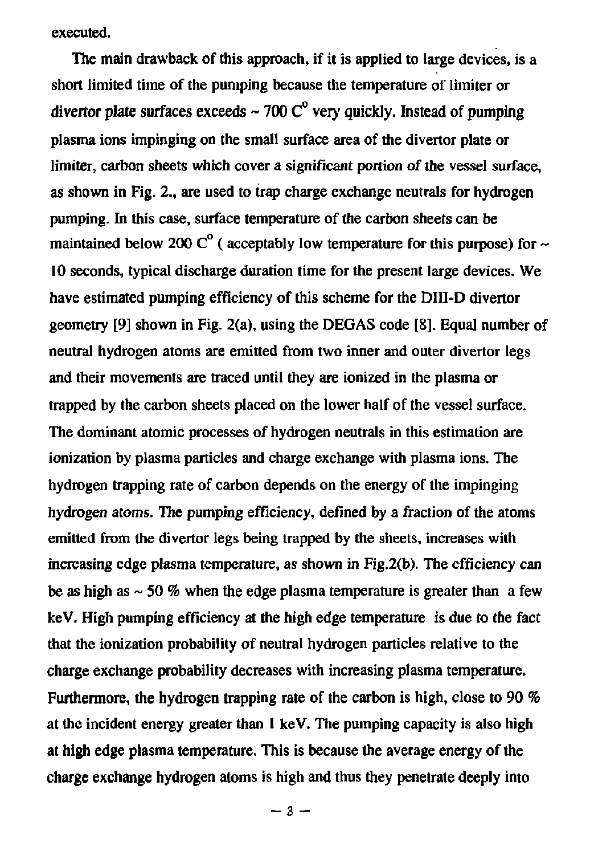**executed.** 

**The main drawback of this approach, if it is applied to large devices, is a short limited time of the pumping because the temperature of limiter or divertor plate surfaces exceeds ~ 700 C° very quickly. Instead of pumping plasma ions impinging on the small surface area of the divertor plate or limiter, carbon sheets which cover a significant portion of the vessel surface, as shown in Fig. 2., are used to trap charge exchange neutrals for hydrogen pumping, hi this case, surface temperature of the carbon sheets can be**  maintained below 200  $C^{\circ}$  (acceptably low temperature for this purpose) for  $\sim$ **10 seconds, typical discharge duration time for the present large devices. We have estimated pumping efficiency of this scheme for the DIII-D divertor geometry [9] shown in Fig. 2(a), using the DEGAS code [8]. Equal number of neutral hydrogen atoms are emitted from two inner and outer divertor legs and their movements are traced until they are ionized in the plasma or trapped by the carbon sheets placed on the lower half of the vessel surface. The dominant atomic processes of hydrogen neutrals in this estimation are ionization by plasma particles and charge exchange with plasma ions. The hydrogen trapping rate of carbon depends on the energy of the impinging hydrogen atoms. The pumping efficiency, defined by a fraction of the atoms emitted from the divertor legs being trapped by the sheets, increases with increasing edge plasma temperature, as shown in Fig.2(b). The efficiency can be as high as**  $\sim$  **50 % when the edge plasma temperature is greater than a few keV. High pumping efficiency at the high edge temperature is due to the fact that the ionization probability of neutral hydrogen particles relative to the charge exchange probability decreases with increasing plasma temperature. Furthermore, the hydrogen trapping rate of the carbon is high, close to 90 % at the incident energy greater than 1 keV. The pumping capacity is also high at high edge plasma temperature. This is because the average energy of the charge exchange hydrogen atoms is high and thus they penetrate deeply into**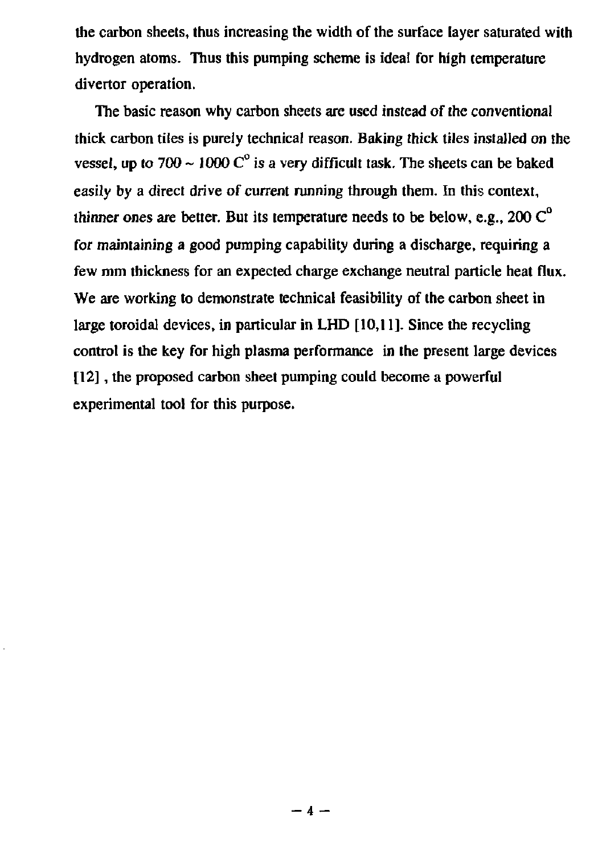the carbon sheets, thus increasing the width of the surface layer saturated with hydrogen atoms. Thus this pumping scheme is ideal for high temperature divertor operation.

The basic reason why carbon sheets are used instead of the conventional thick carbon tiles is purely technical reason. Baking thick tiles installed on the vessel, up to 700  $\sim$  1000 C<sup>°</sup> is a very difficult task. The sheets can be baked easily by a direct drive of current running through them. In this context, thinner ones are better. But its temperature needs to be below, e.g.,  $200 \, \text{C}^{\text{o}}$ for maintaining a good pumping capability during a discharge, requiring a few mm thickness for an expected charge exchange neutral particle heat flux. We are working to demonstrate technical feasibility of the carbon sheet in large toroidal devices, in particular in LHD [10,11]. Since the recycling control is the key for high plasma performance in the present large devices [12], the proposed carbon sheet pumping could become a powerful experimental tool for this purpose.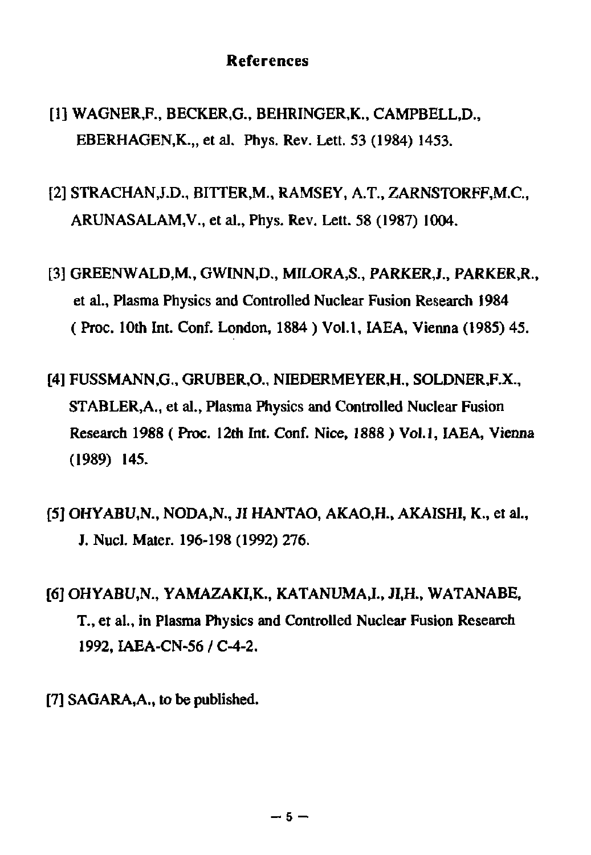#### **References**

- [1] WAGNER,F., BECKER.G., BEHRINGER.K., CAMPBELL.D., EBERHAGEN, K... et al. Phys. Rev. Lett. 53 (1984) 1453.
- [2] STRACHANJ.D., BITTER,M., RAMSEY, A.T., ZARNSTORFF,M.G, ARUNASALAM,V., et al., Phys. Rev. Lett. 58 (1987) 1004.
- [3] GREENWALD.M., GWINN,D., MILORA.S., PARKERJ., PARKER.R., et al., Plasma Physics and Controlled Nuclear Fusion Research 1984 ( Proc. 10th Int. Conf. London, 1884 ) Vol.1, IAEA, Vienna (1985) 45.
- [4] FUSSMANN.G., GRUBER.O., NIEDERMEYER,H., SOLDNER,F.X., STABLER.A., et al., Plasma Physics and Controlled Nuclear Fusion Research 1988 (Proc. 12th Int. Conf. Nice, 1888 ) Vol.1, IAEA, Vienna (1989) 145.
- [5] OHYABU.N., NODA.N., JI HANTAO, AKAO.H., AKAISHI, K., et al., J. Nucl. Mater. 196-198 (1992) 276.
- [6] OHYABU.N., YAMAZAKI.K., KATANUMAJ., JI.H., WATANABE, T., et al., in Plasma Physics and Controlled Nuclear Fusion Research 1992, IAEA-CN-56 / C-4-2.
- [7] SAGARA, A., to be published.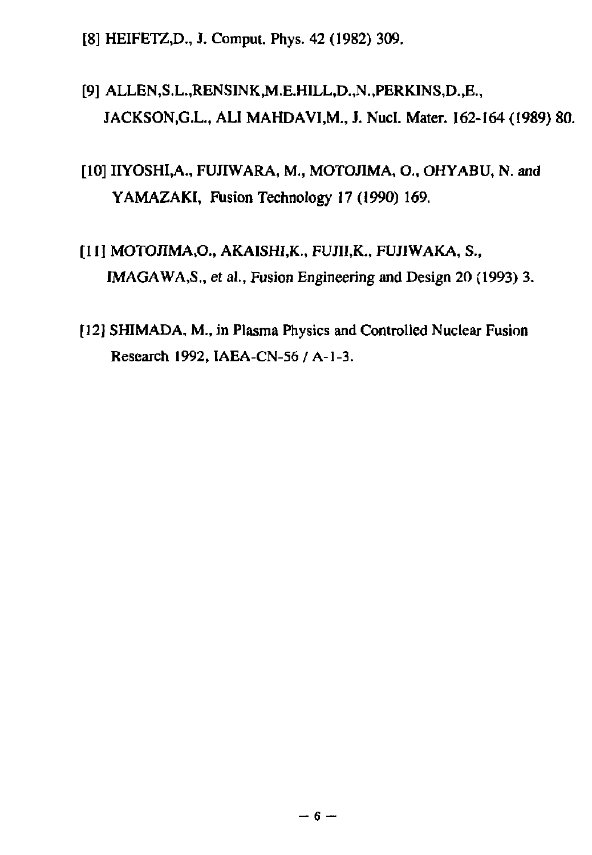[8] HEIFETZ.D., J. Comput. Phys. 42 (1982) 309.

# [9] ALLEN,S.L.,RENSINK,M.E.HILL,D.,N.,PERKINS,D.,E., JACKSON.G.L., ALI MAHDAVI,M., J. Nucl. Mater. 162-164 (1989) 80.

# [10] IIYOSHI.A., FUJIWARA, M., MOTOJIMA, O., OHYABU, N. and YAMAZAKI, Fusion Technology 17 (1990) 169.

- [II] MOTOJIMA.O., AKAISHI,K., FUJII.K., FUJIWAKA, S., IMAGAWA, S., et al., Fusion Engineering and Design 20 (1993) 3.
- [12] SHIMADA, M., in Plasma Physics and Controlled Nuclear Fusion Research 1992, IAEA-CN-56 / A-l-3.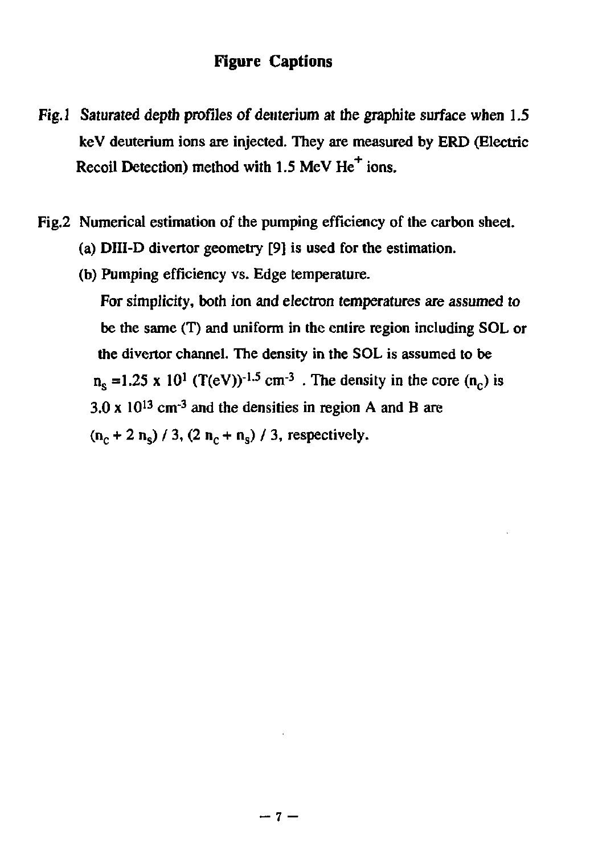#### **Figure Captions**

- Fig.1 Saturated depth profiles of deuterium at the graphite surface when 1.5 keV deuterium ions are injected. They are measured by ERD (Electric Recoil Detection) method with 1.5 MeV  $He<sup>+</sup>$  ions.
- Fig.2 Numerical estimation of the pumping efficiency of the carbon sheet.
	- (a) DIII-D divertor geometry [9] is used for the estimation.
	- (b) Pumping efficiency vs. Edge temperature. For simplicity, both ion and electron temperatures are assumed *to*  be the same (T) and uniform in the entire region including SOL or the divertor channel. The density in the SOL is assumed to be  $n_s$  =1.25 x 10<sup>1</sup> (T(eV))<sup>-1.5</sup> cm<sup>-3</sup>. The density in the core (n<sub>c</sub>) is 3.0 x  $10^{13}$  cm<sup>-3</sup> and the densities in region A and B are  $(n_c + 2 n_s) / 3$ ,  $(2 n_c + n_s) / 3$ , respectively.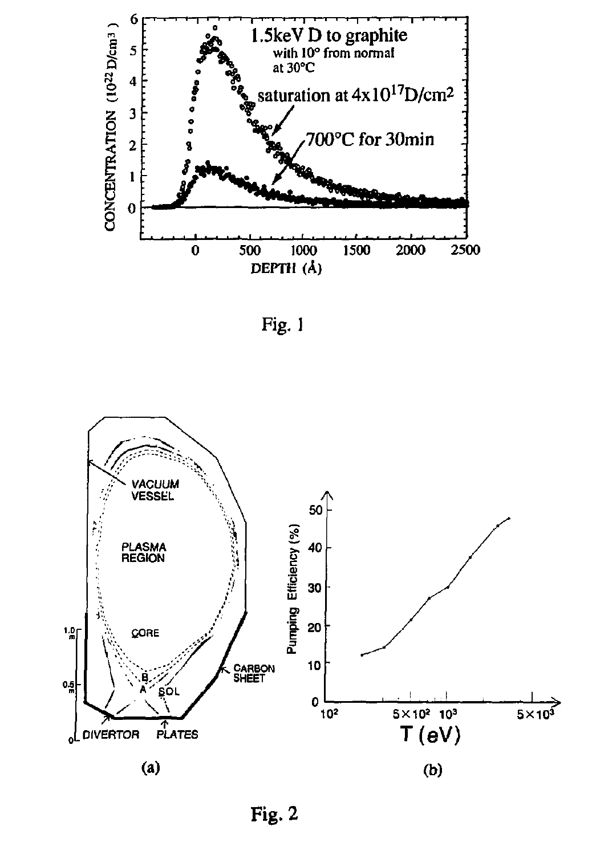





Fig. 2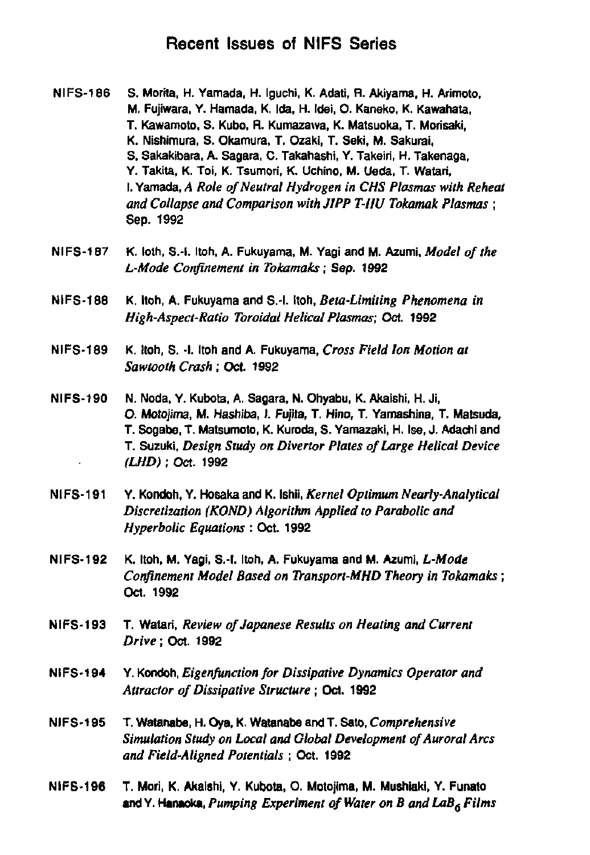### **Recent Issues of NIFS Series**

- **NIFS-186 S. Morila, H. Yamada, H. Iguchi, K. Adati, R. Akiyama, H. Arimoto, M. Fujiwara, Y. Hamada, K. Ida, H. Idei, O. Kaneko, K. Kawahata, T. Kawamoto, S. Kubo, R. Kumazavva, K. Matsuoka, T. Morisaki, K. Nishimura, S. Okamura, T. Ozaki, T. Seki, M. Sakurai, S, Sakakibaia, A. Sagara, C. Takahashi, Y. Takelri, H. Takenaga, Y. Taklta, K. Toi, K. Tsumori, K. Uohino, M. Ueda, T. Watari, I. Yamada,** *A Role of Neutral Hydrogen in CHS Plasmas with Reheat and Collapse and Comparison with JIPP T-IIU Tokamak Plasmas ;*  **Sep. 1992**
- **NIFS-187 K. loth, S.-l. Itoh, A. Fukuyama, M. Yagi and M. Azumi,** *Model of the L-Mode Confinement in Tokamaks;* **Sep. 1992**
- **NIFS-188 K. Itoh, A. Fukuyama and S.-l. Itoh,** *Beta-Limiting Phenomena in High-Aspect-Ratio Toroidal Helical Plasmas;* **Oct. 1992**
- **NIFS-189 K. Itoh, S. -I. Itoh and A. Fukuyama,** *Cross Field Ion Motion at Sawtooth Crash;* **Oct. 1982**
- **NIFS-190 N. Noda, Y. Kubota, A. Sagara, N. Ohyabu, K. Akalshi, H. Ji, O. Motojima, M. Hashiba, 1. Fujita, T. Hino, T. Yamashina, T. Matsuda, T. Sogabe, T. Matsumoto, K. Kuroda, S. Yamazaki, H. Ise, J. Adachl and T. Suzuki,** *Design Study on Divertor Plates of Large Helical Device (LHD)* **; Oct. 1992**
- **NIFS-191 Y. Kondoh, Y. Hosaka and K. Ishii,** *Kernel Optimum Nearly-Analytical Discretization (KOND) Algorithm Applied to Parabolic and Hyperbolic Equations* **: Oct. 1992**
- **NIFS-192 K. Itoh, M. Yagi, S.-l. Itoh, A. Fukuyama and M. Azumi,** *L-Mode Confinement Model Based on Transport-MHD Theory in Tokamaks;*  **Oct. 1992**
- **NIFS-193 T. Watari,** *Review of Japanese Results on Heating and Current Drive;* **Oct. 1992**
- **NIFS-194** *Y. Kondoh, Eigenfunclion for Dissipative Dynamics Operator and Attraclor of Dissipative Structure;* **Oct. 1992**
- **NIFS-195 T. Watanabe, H. Oya, K. Watanabe and T. Sato,** *Comprehensive Simulation Study on Local and Global Development of Auroral Arcs and Field-Aligned Potentials* **; Oct. 1992**
- **NIFS-196 T. Mori, K. Akalshi, Y. Kubota, O. Motojima, M. Mushiaki, Y. Funato and Y. Hanaoka,** *Pumping Experiment of Water on B and LaB6 Films*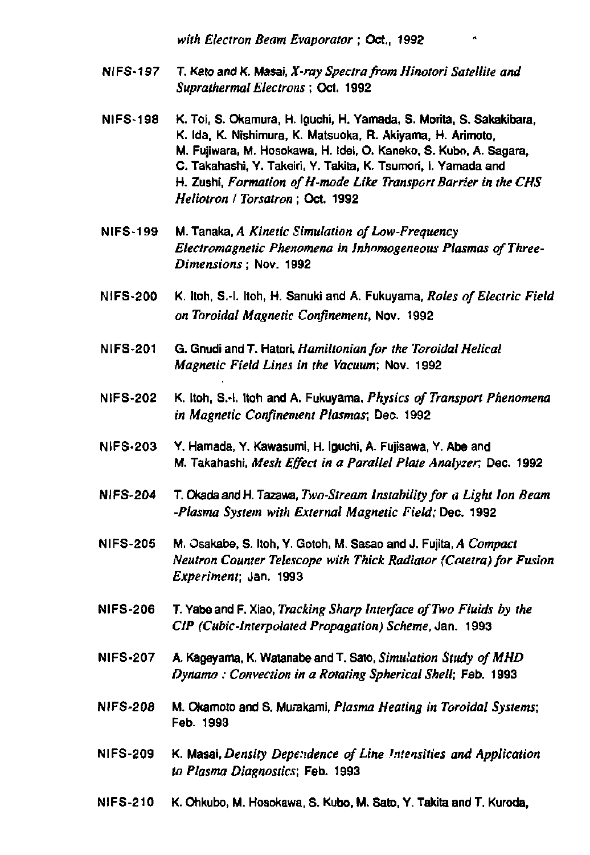*with Electron Beam Evaporator ;* Oct., 1992

- NIFS-197 T. Kato and K. Masai, *X-ray Spectra from Hinotori Satellite and Suprathermal Electrons;* Oct. 1992
- **NIFS-198 K. Toi, S. Okamura, H. Iguchi, H. Yamada, S. Morita, S. Sakakibara, K. Ida, K. Nishimura, K. Matsuoka, R. Akiyama, H. Arimoto, M. Fujiwara, M. Hosokawa, H. Idei, O. Kaneko, S. Kubo, A. Sagara, C. Takahashi, Y. Takeiri, Y. Takita, K. Tsumori, I. Yamada and H. Zushi,** *Formation ofH-mode Like Transport Barrier in the CHS Heliotron I Torsatron ;* **Oct. 1992**
- NIFS-199 M. Tanaka, *A Kinetic Simulation of Low-Frequency Electromagnetic Phenomena in Jnhnmogeneous Plasmas of Three-Dimensions;* Nov. 1992
- NIFS-200 K. Itoh, S.-l. Itoh, H. Sanuki and A. Fukuyama, *Roles of Electric Field on Toroidal Magnetic Confinement,* Nov. 1992
- NIFS-201 G. GnudiandT. Hatori, *Hamiltonian for the Toroidal Helical Magnetic Field Lines in the Vacuum;* Nov. 1992
- NIFS-202 K. Itoh, S.-l. Itoh and A. Fukuyama, *Physics of Transport Phenomena in Magnetic Confinement Plasmas;* Dec. 1992
- **NIFS-203 Y. Hamada, Y. Kawasumi H. Iguchi. A. Fujisawa, Y. Abe and**  M. Takahashi, *Mesh Effect in a Parallel Plate Analyzer,* Dec. 1992
- NI FS-204 T. Okada and H. Tazavra, *Two-Stream Instability for a Light Ion Beam -Plasma System with External Magnetic Field;* Dec. 1992
- **Nl FS-205 M. Osakabe, S. Itoh, Y. Gotoh, M Sasao and J. Fujita,** *A Compact Neutron Counter Telescope with Thick Radiator (Cotetra) for Fusion Experiment;* Jan. 1993
- NIFS-206 T. Yabeand F. Xiao, *Tracking Sharp Interface of Two Fluids by the CIP (Cubic-Interpolated Propagation) Scheme,* Jan. 1993
- NIFS-207 A. Kageyama, K. WatanabeandT. Sato, *Simulation Study ofMHD Dynamo: Convection in a Rotating Spherical Shell;* Feb. 1993
- NIFS-208 M. Okamoto and S. Murakami, *Plasma Heating in Toroidal Systems;*  Feb. 1993
- NIFS-209 K. Masai, *Density Dependence of Line Intensities and Application to Plasma Diagnostics;* Feb. 1993
- **Nl FS-210 K. Ohkubo, M. Hosokawa, S. Kubo, M. Sato, Y. Takita and T. Kuroda,**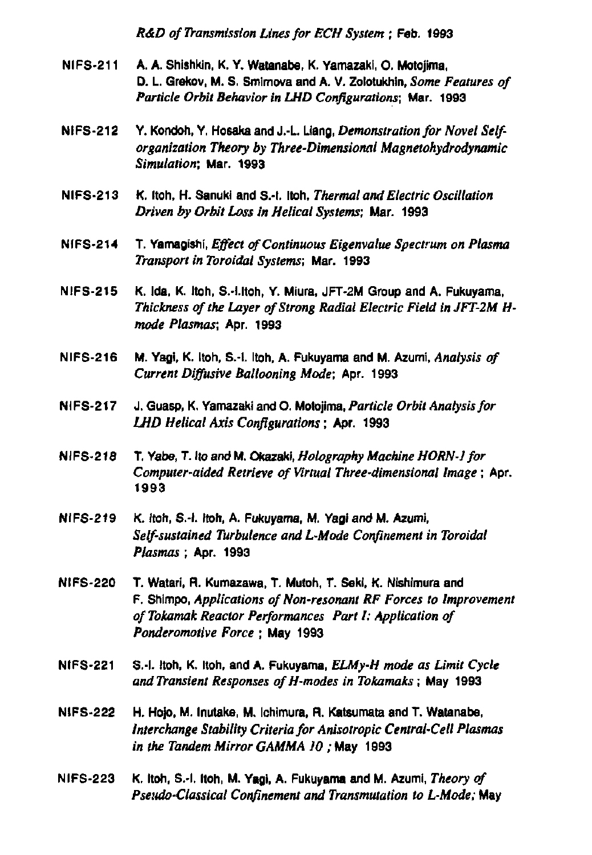*R&D of Transmission Lines for ECU System* **; Feb. 1993** 

- **NIFS-211 A. A. Shishkln, K. Y. Watanabe, K. Yamazakl, 0. Motojima, D. L Grekov, M. S. Smlrnova and A. V. Zolotukhln,** *Some Features of Particle Orbit Behavior in LHD Configurations;* **Mar. 1993**
- **NIFS-212 Y. Kondoh, Y. Hosaka and J.-L. Liang,** *Demonstration for Novel Selforganization Theory by Three-Dimensional Magnetohydrodynamic Simulation;* **Mar. 1993**
- **NIFS-213 K. Itoh, H. Sanukl and S.-l. Itoh,** *Thermal and Electric Oscillation Driven by Orbit Loss in Helical Systems;* **Mar. 1993**
- **NIFS-214 T. Yamagishi,** *Effect of Continuous Eigenvalue Spectrum on Plasma Transport in Toroidal Systems;* **Mar. 1993**
- **NIFS-215 K. Ida, K. Itoh, S.-I.ltoh, Y. Mlura, JFT-2M Group and A. Fukuyama,**  *Thickness of the Layer of Strong Radial Electric Field inJFT-2M Hmode Plasmas;* **Apr. 1993**
- **NIFS-216 M. Yagl, K, Itoh, S.-l. Itoh, A. Fukuyama and M. Azumi.** *Analysis of Current Diffusive Ballooning Mode;* **Apr. 1993**
- **NIFS-217 J. Guasp, K. Yamazaki and O. Motojima,** *Particle Orbit Analysis for LHD Helical Axis Configurations***; Apr. 1993**
- **NIFS-218 T. Yabe, T. ItoandM. Okazaki,** *Holography Machine HORN-} for Computer-aided Retrieve of Virtual Three-dimensional Image***; Apr. 1993**
- **NIFS-219 K. Itoh, S.-l. Itoh, A. Fukuyama, M. Yagl and M. Azumi,**  *Self-sustained Turbulence and L-Mode Confinement in Toroidal Plasmas* **; Apr. 1993**
- **NIFS-220 T. Watarl, R. Kumazawa, T. Mutoh, T. Sekl, K. Nishimura and F. Shlmpo,** *Applications of Non-resonant RF Forces to Improvement ofTokamak Reactor Performances Part I: Application of Ponderomotive Force ;* **May 1993**
- **NIFS-221 S.-l. Itoh, K. Itoh, and A. Fukuyama,** *ELMy-H mode as Limit Cycle and Transient Responses ofH-modes in Tokamaks;* **May 1993**
- **NIFS-222 H. Hojo, M. Inutake, M. Ichlmura, R. Katsumata and T. Watanabe,**  *Interchange Stability Criteria for Anisotropic Central-Cell Plasmas in the Tandem Mirror GAMMA 10 ;* **May 1993**
- **NIFS-223 K. Itoh, S.-l. Itoh, M. Yagl, A. Fukuyama and M. Azumi,** *Theory of Pseudo-Classical Confinement and Transmutation to L-Mode;* **May**